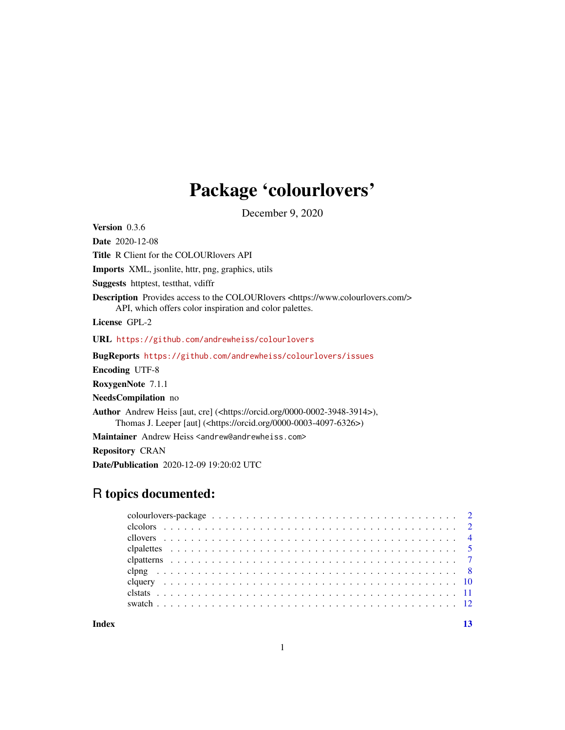## Package 'colourlovers'

December 9, 2020

Version 0.3.6

Date 2020-12-08

Title R Client for the COLOURlovers API

Imports XML, jsonlite, httr, png, graphics, utils

Suggests httptest, testthat, vdiffr

Description Provides access to the COLOURlovers <https://www.colourlovers.com/> API, which offers color inspiration and color palettes.

License GPL-2

URL <https://github.com/andrewheiss/colourlovers>

BugReports <https://github.com/andrewheiss/colourlovers/issues>

Encoding UTF-8

RoxygenNote 7.1.1

NeedsCompilation no

Author Andrew Heiss [aut, cre] (<https://orcid.org/0000-0002-3948-3914>), Thomas J. Leeper [aut] (<https://orcid.org/0000-0003-4097-6326>)

Maintainer Andrew Heiss <andrew@andrewheiss.com>

Repository CRAN

Date/Publication 2020-12-09 19:20:02 UTC

## R topics documented:

**Index** [13](#page-12-0)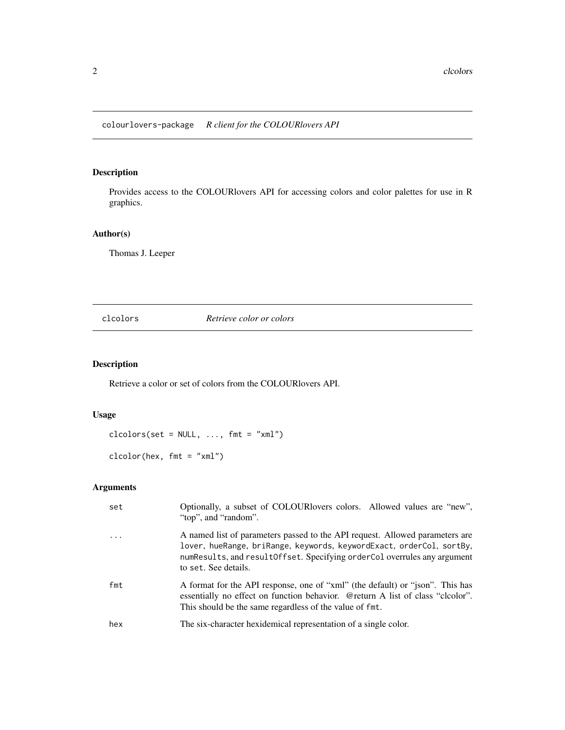<span id="page-1-0"></span>Provides access to the COLOURlovers API for accessing colors and color palettes for use in R graphics.

#### Author(s)

Thomas J. Leeper

clcolors *Retrieve color or colors*

## Description

Retrieve a color or set of colors from the COLOURlovers API.

## Usage

 $\text{clicolors}(\text{set} = \text{NULL}, \ldots, \text{fmt} = "xml")$ 

clcolor(hex, fmt = "xml")

## Arguments

| set                     | Optionally, a subset of COLOURIovers colors. Allowed values are "new",<br>"top", and "random".                                                                                                                                                             |
|-------------------------|------------------------------------------------------------------------------------------------------------------------------------------------------------------------------------------------------------------------------------------------------------|
| $\cdot$ $\cdot$ $\cdot$ | A named list of parameters passed to the API request. Allowed parameters are<br>lover, hueRange, briRange, keywords, keywordExact, orderCol, sortBy,<br>numResults, and result Offset. Specifying order Col overrules any argument<br>to set. See details. |
| fmt                     | A format for the API response, one of "xml" (the default) or "json". This has<br>essentially no effect on function behavior. @return A list of class "cloolor".<br>This should be the same regardless of the value of fmt.                                 |
| hex                     | The six-character hexidemical representation of a single color.                                                                                                                                                                                            |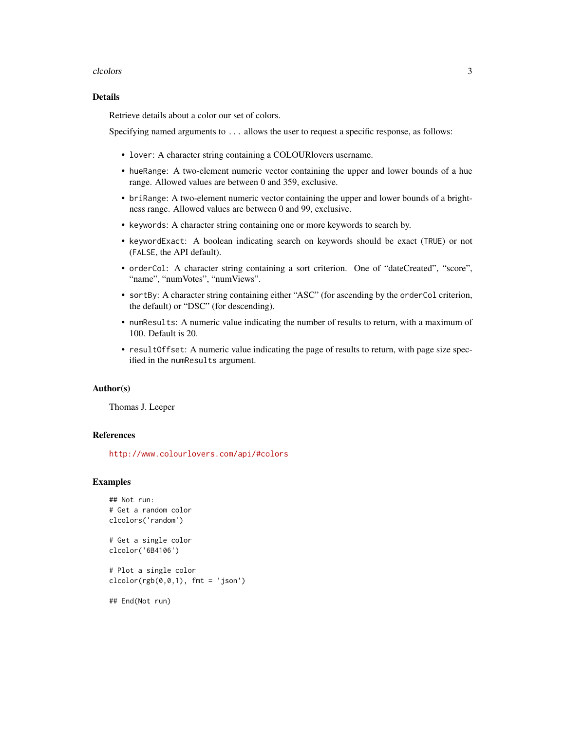#### clocolors 3

#### Details

Retrieve details about a color our set of colors.

Specifying named arguments to ... allows the user to request a specific response, as follows:

- lover: A character string containing a COLOURlovers username.
- hueRange: A two-element numeric vector containing the upper and lower bounds of a hue range. Allowed values are between 0 and 359, exclusive.
- briRange: A two-element numeric vector containing the upper and lower bounds of a brightness range. Allowed values are between 0 and 99, exclusive.
- keywords: A character string containing one or more keywords to search by.
- keywordExact: A boolean indicating search on keywords should be exact (TRUE) or not (FALSE, the API default).
- orderCol: A character string containing a sort criterion. One of "dateCreated", "score", "name", "numVotes", "numViews".
- sortBy: A character string containing either "ASC" (for ascending by the orderCol criterion, the default) or "DSC" (for descending).
- numResults: A numeric value indicating the number of results to return, with a maximum of 100. Default is 20.
- resultOffset: A numeric value indicating the page of results to return, with page size specified in the numResults argument.

#### Author(s)

Thomas J. Leeper

#### References

<http://www.colourlovers.com/api/#colors>

#### Examples

```
## Not run:
# Get a random color
clcolors('random')
```
# Get a single color clcolor('6B4106')

# Plot a single color  $clcolor(rgb(0,0,1), frnt = 'json')$ 

## End(Not run)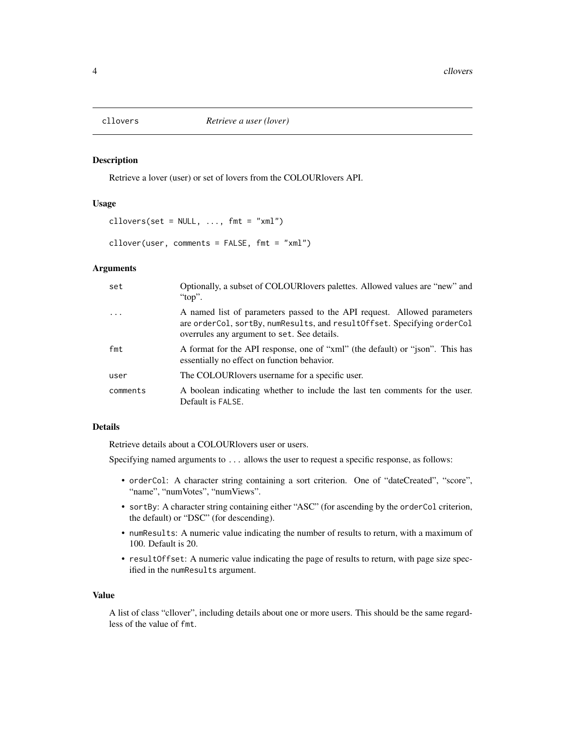<span id="page-3-0"></span>

Retrieve a lover (user) or set of lovers from the COLOURlovers API.

## Usage

cllovers(set =  $NULL, ..., fmt = "xml")$ 

cllover(user, comments = FALSE, fmt = "xml")

#### Arguments

| set        | Optionally, a subset of COLOUR lovers palettes. Allowed values are "new" and<br>" $top$ ".                                                                                                              |
|------------|---------------------------------------------------------------------------------------------------------------------------------------------------------------------------------------------------------|
| $\ddots$ . | A named list of parameters passed to the API request. Allowed parameters<br>are order Col, sort By, num Results, and result Offset. Specifying order Col<br>overrules any argument to set. See details. |
| fmt        | A format for the API response, one of "xml" (the default) or "json". This has<br>essentially no effect on function behavior.                                                                            |
| user       | The COLOUR lovers username for a specific user.                                                                                                                                                         |
| comments   | A boolean indicating whether to include the last ten comments for the user.<br>Default is FALSE.                                                                                                        |

## Details

Retrieve details about a COLOURlovers user or users.

Specifying named arguments to ... allows the user to request a specific response, as follows:

- orderCol: A character string containing a sort criterion. One of "dateCreated", "score", "name", "numVotes", "numViews".
- sortBy: A character string containing either "ASC" (for ascending by the orderCol criterion, the default) or "DSC" (for descending).
- numResults: A numeric value indicating the number of results to return, with a maximum of 100. Default is 20.
- resultOffset: A numeric value indicating the page of results to return, with page size specified in the numResults argument.

#### Value

A list of class "cllover", including details about one or more users. This should be the same regardless of the value of fmt.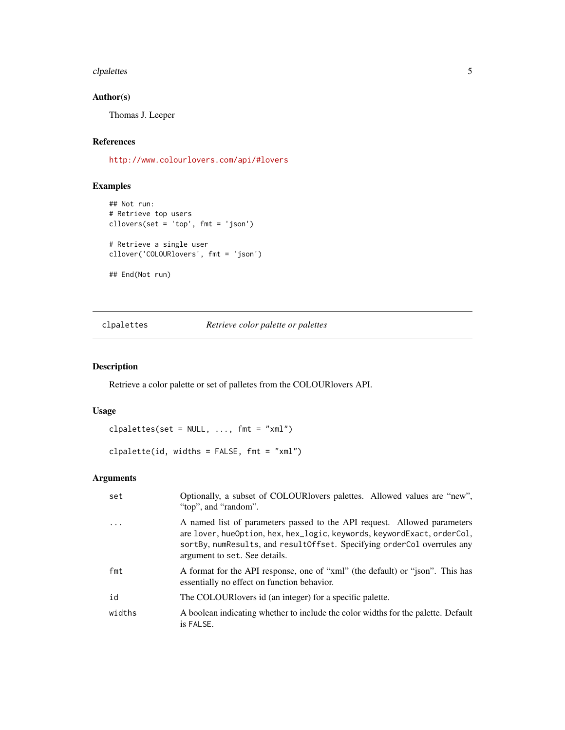#### <span id="page-4-0"></span>clpalettes 5

## Author(s)

Thomas J. Leeper

## References

<http://www.colourlovers.com/api/#lovers>

## Examples

```
## Not run:
# Retrieve top users
cllovers(set = 'top', fmt = 'json')
# Retrieve a single user
cllover('COLOURlovers', fmt = 'json')
## End(Not run)
```
## clpalettes *Retrieve color palette or palettes*

## Description

Retrieve a color palette or set of palletes from the COLOURlovers API.

## Usage

clpalettes(set =  $NULL, ..., fmt = "xml")$ 

clpalette(id, widths = FALSE, fmt = "xml")

## Arguments

| set        | Optionally, a subset of COLOUR lovers palettes. Allowed values are "new",<br>"top", and "random".                                                                                                                                                                 |
|------------|-------------------------------------------------------------------------------------------------------------------------------------------------------------------------------------------------------------------------------------------------------------------|
| $\ddots$ . | A named list of parameters passed to the API request. Allowed parameters<br>are lover, hueOption, hex, hex_logic, keywords, keywordExact, orderCol,<br>sortBy, numResults, and result Offset. Specifying order Col overrules any<br>argument to set. See details. |
| fmt        | A format for the API response, one of "xml" (the default) or "json". This has<br>essentially no effect on function behavior.                                                                                                                                      |
| id         | The COLOUR lovers id (an integer) for a specific palette.                                                                                                                                                                                                         |
| widths     | A boolean indicating whether to include the color widths for the palette. Default<br>is FALSE.                                                                                                                                                                    |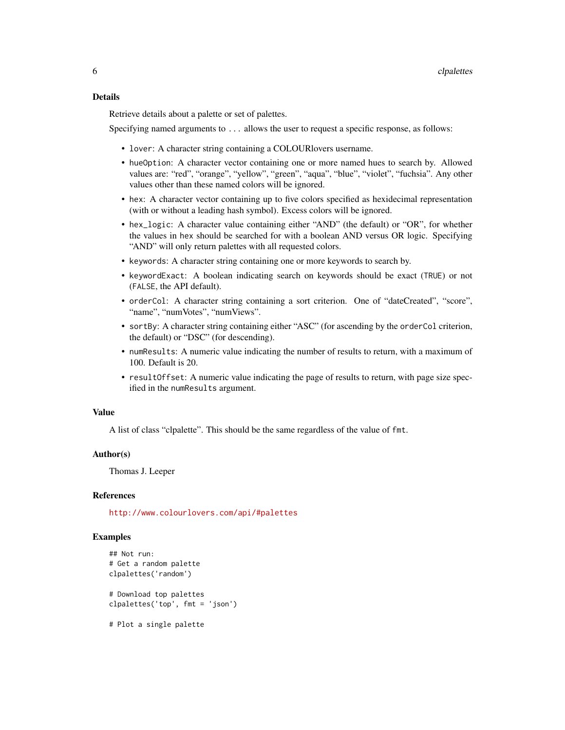#### Details

Retrieve details about a palette or set of palettes.

Specifying named arguments to ... allows the user to request a specific response, as follows:

- lover: A character string containing a COLOURlovers username.
- hueOption: A character vector containing one or more named hues to search by. Allowed values are: "red", "orange", "yellow", "green", "aqua", "blue", "violet", "fuchsia". Any other values other than these named colors will be ignored.
- hex: A character vector containing up to five colors specified as hexidecimal representation (with or without a leading hash symbol). Excess colors will be ignored.
- hex\_logic: A character value containing either "AND" (the default) or "OR", for whether the values in hex should be searched for with a boolean AND versus OR logic. Specifying "AND" will only return palettes with all requested colors.
- keywords: A character string containing one or more keywords to search by.
- keywordExact: A boolean indicating search on keywords should be exact (TRUE) or not (FALSE, the API default).
- orderCol: A character string containing a sort criterion. One of "dateCreated", "score", "name", "numVotes", "numViews".
- sortBy: A character string containing either "ASC" (for ascending by the orderCol criterion, the default) or "DSC" (for descending).
- numResults: A numeric value indicating the number of results to return, with a maximum of 100. Default is 20.
- resultOffset: A numeric value indicating the page of results to return, with page size specified in the numResults argument.

#### Value

A list of class "clpalette". This should be the same regardless of the value of fmt.

#### Author(s)

Thomas J. Leeper

#### References

<http://www.colourlovers.com/api/#palettes>

#### Examples

```
## Not run:
# Get a random palette
clpalettes('random')
# Download top palettes
clpalettes('top', fmt = 'json')
```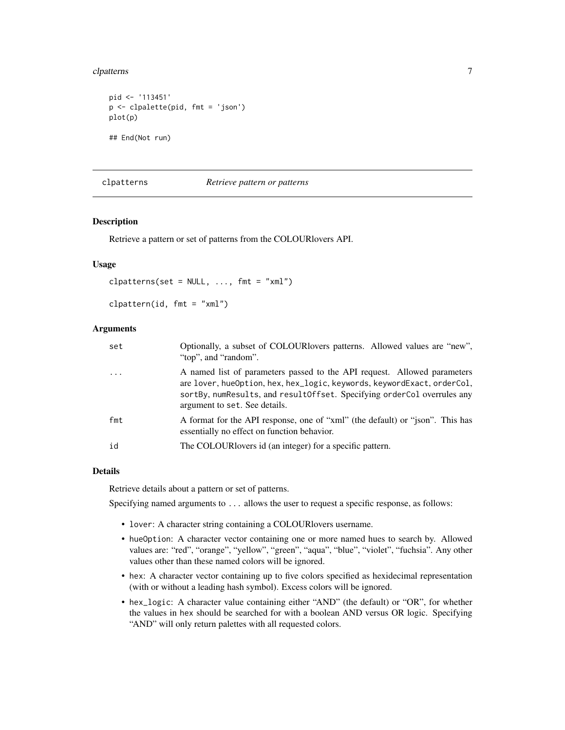#### <span id="page-6-0"></span>clpatterns 7

```
pid <- '113451'
p <- clpalette(pid, fmt = 'json')
plot(p)
## End(Not run)
```
## clpatterns *Retrieve pattern or patterns*

#### Description

Retrieve a pattern or set of patterns from the COLOURlovers API.

#### Usage

```
clpatterns(set = NULL, ..., fmt = "xml")
```

```
clpattern(id, fmt = "xml")
```
## Arguments

| set      | Optionally, a subset of COLOURlovers patterns. Allowed values are "new",<br>"top", and "random".                                                                                                                                                                  |
|----------|-------------------------------------------------------------------------------------------------------------------------------------------------------------------------------------------------------------------------------------------------------------------|
| $\cdots$ | A named list of parameters passed to the API request. Allowed parameters<br>are lover, hueOption, hex, hex_logic, keywords, keywordExact, orderCol,<br>sortBy, numResults, and result Offset. Specifying order Col overrules any<br>argument to set. See details. |
| fmt      | A format for the API response, one of "xml" (the default) or "json". This has<br>essentially no effect on function behavior.                                                                                                                                      |
| id       | The COLOUR lovers id (an integer) for a specific pattern.                                                                                                                                                                                                         |

## Details

Retrieve details about a pattern or set of patterns.

Specifying named arguments to ... allows the user to request a specific response, as follows:

- lover: A character string containing a COLOURlovers username.
- hueOption: A character vector containing one or more named hues to search by. Allowed values are: "red", "orange", "yellow", "green", "aqua", "blue", "violet", "fuchsia". Any other values other than these named colors will be ignored.
- hex: A character vector containing up to five colors specified as hexidecimal representation (with or without a leading hash symbol). Excess colors will be ignored.
- hex\_logic: A character value containing either "AND" (the default) or "OR", for whether the values in hex should be searched for with a boolean AND versus OR logic. Specifying "AND" will only return palettes with all requested colors.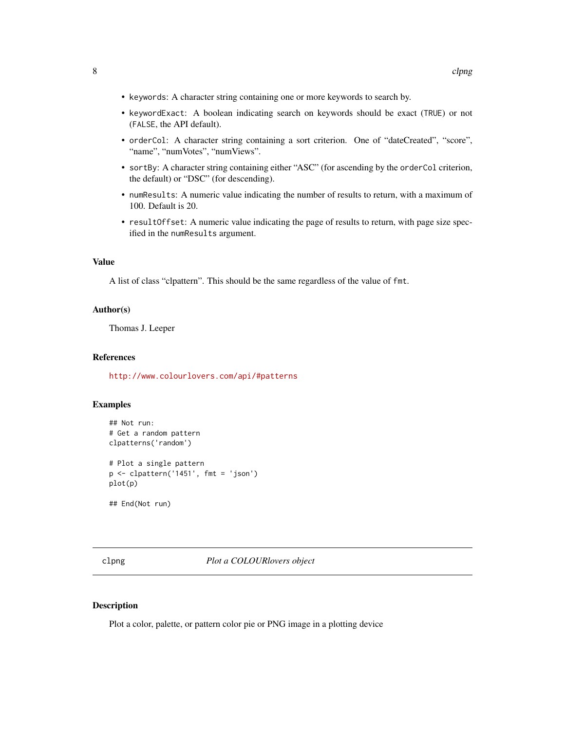- <span id="page-7-0"></span>• keywords: A character string containing one or more keywords to search by.
- keywordExact: A boolean indicating search on keywords should be exact (TRUE) or not (FALSE, the API default).
- orderCol: A character string containing a sort criterion. One of "dateCreated", "score", "name", "numVotes", "numViews".
- sortBy: A character string containing either "ASC" (for ascending by the orderCol criterion, the default) or "DSC" (for descending).
- numResults: A numeric value indicating the number of results to return, with a maximum of 100. Default is 20.
- resultOffset: A numeric value indicating the page of results to return, with page size specified in the numResults argument.

#### Value

A list of class "clpattern". This should be the same regardless of the value of fmt.

## Author(s)

Thomas J. Leeper

#### References

<http://www.colourlovers.com/api/#patterns>

#### Examples

```
## Not run:
# Get a random pattern
clpatterns('random')
# Plot a single pattern
p <- clpattern('1451', fmt = 'json')
plot(p)
```
## End(Not run)

clpng *Plot a COLOURlovers object*

#### Description

Plot a color, palette, or pattern color pie or PNG image in a plotting device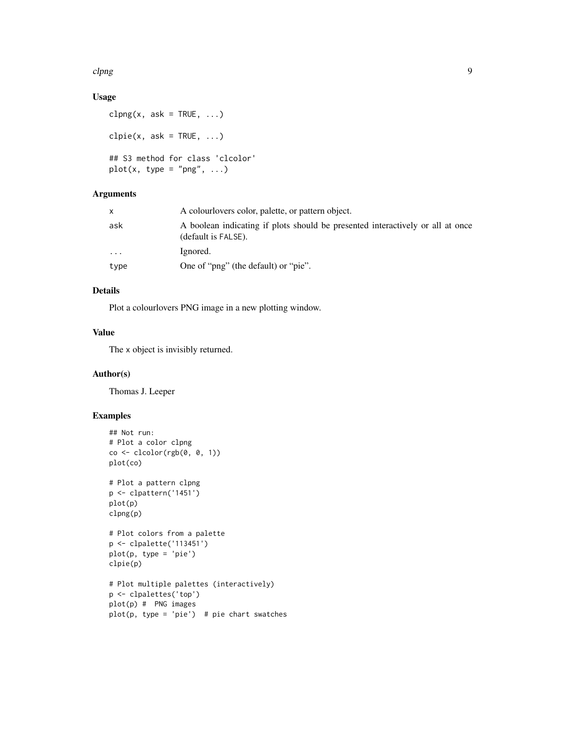#### clpng 9

## Usage

```
clpng(x, ask = TRUE, \ldots)
clpie(x, ask = TRUE, ...)## S3 method for class 'clcolor'
plot(x, type = "png", ...)
```
## Arguments

|      | A colour lovers color, palette, or pattern object.                                                    |
|------|-------------------------------------------------------------------------------------------------------|
| ask  | A boolean indicating if plots should be presented interactively or all at once<br>(default is FALSE). |
| .    | Ignored.                                                                                              |
| type | One of "png" (the default) or "pie".                                                                  |

## Details

Plot a colourlovers PNG image in a new plotting window.

## Value

The x object is invisibly returned.

#### Author(s)

Thomas J. Leeper

## Examples

```
## Not run:
# Plot a color clpng
co \leftarrow clcolor(rgb(0, 0, 1))plot(co)
# Plot a pattern clpng
p <- clpattern('1451')
plot(p)
clpng(p)
# Plot colors from a palette
p <- clpalette('113451')
plot(p, type = 'pie')
clpie(p)
# Plot multiple palettes (interactively)
p <- clpalettes('top')
plot(p) # PNG images
plot(p, type = 'pie') # pie chart swatches
```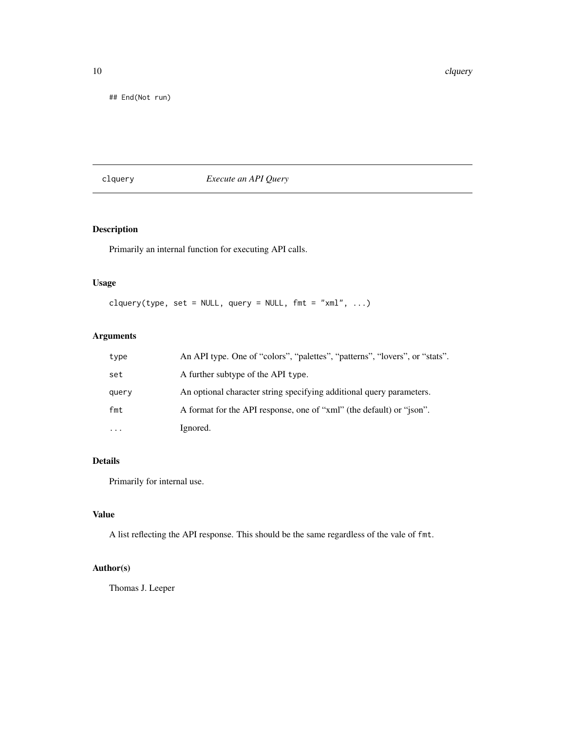<span id="page-9-0"></span>10 class contract to the contract of the contract of the contract of the contract of the contract of the contract of the contract of the contract of the contract of the contract of the contract of the contract of the contr

## End(Not run)

## clquery *Execute an API Query*

## Description

Primarily an internal function for executing API calls.

## Usage

clquery(type, set = NULL, query = NULL,  $fmt = "xml", ...$ )

## Arguments

| type  | An API type. One of "colors", "palettes", "patterns", "lovers", or "stats". |
|-------|-----------------------------------------------------------------------------|
| set   | A further subtype of the API type.                                          |
| query | An optional character string specifying additional query parameters.        |
| fmt   | A format for the API response, one of "xml" (the default) or "json".        |
|       | Ignored.                                                                    |

## Details

Primarily for internal use.

## Value

A list reflecting the API response. This should be the same regardless of the vale of fmt.

## Author(s)

Thomas J. Leeper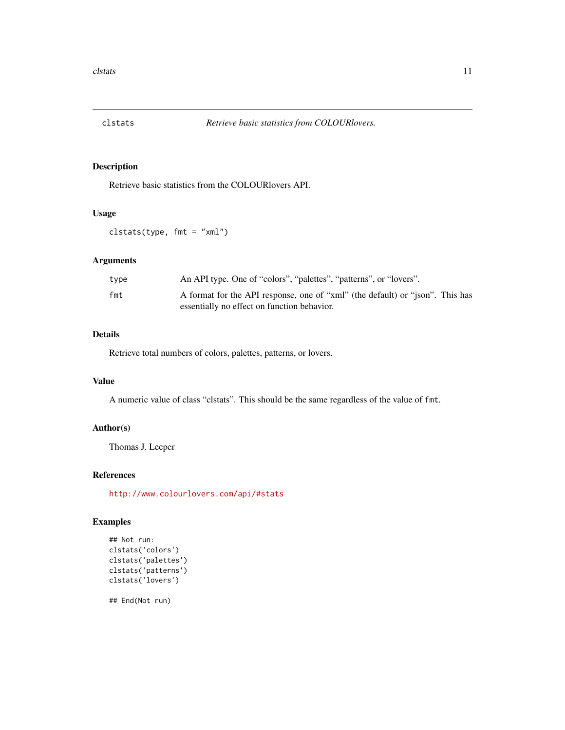<span id="page-10-0"></span>

Retrieve basic statistics from the COLOURlovers API.

### Usage

clstats(type, fmt = "xml")

## Arguments

| type | An API type. One of "colors", "palettes", "patterns", or "lovers".            |
|------|-------------------------------------------------------------------------------|
| fmt  | A format for the API response, one of "xml" (the default) or "json". This has |
|      | essentially no effect on function behavior.                                   |

## Details

Retrieve total numbers of colors, palettes, patterns, or lovers.

## Value

A numeric value of class "clstats". This should be the same regardless of the value of fmt.

#### Author(s)

Thomas J. Leeper

#### References

<http://www.colourlovers.com/api/#stats>

## Examples

```
## Not run:
clstats('colors')
clstats('palettes')
clstats('patterns')
clstats('lovers')
```
## End(Not run)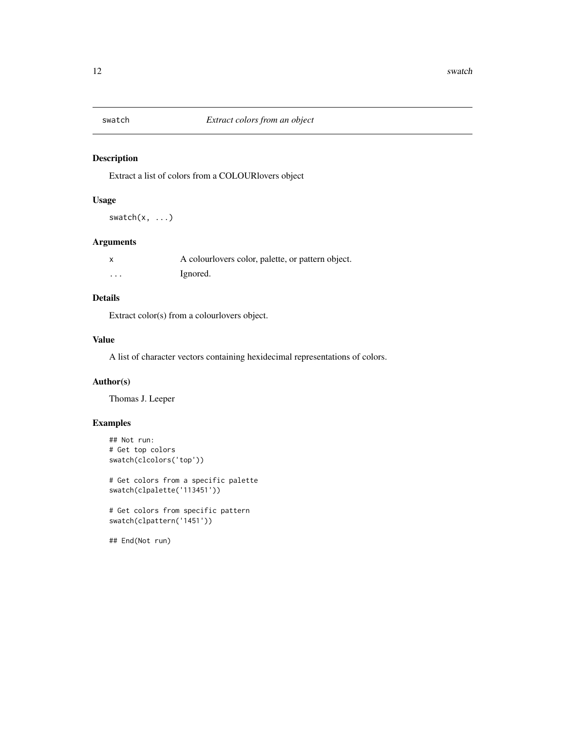<span id="page-11-0"></span>

Extract a list of colors from a COLOURlovers object

## Usage

swatch(x, ...)

## Arguments

|          | A colour lovers color, palette, or pattern object. |
|----------|----------------------------------------------------|
| $\cdots$ | Ignored.                                           |

## Details

Extract color(s) from a colourlovers object.

## Value

A list of character vectors containing hexidecimal representations of colors.

## Author(s)

Thomas J. Leeper

## Examples

```
## Not run:
# Get top colors
swatch(clcolors('top'))
```
# Get colors from a specific palette swatch(clpalette('113451'))

# Get colors from specific pattern swatch(clpattern('1451'))

## End(Not run)